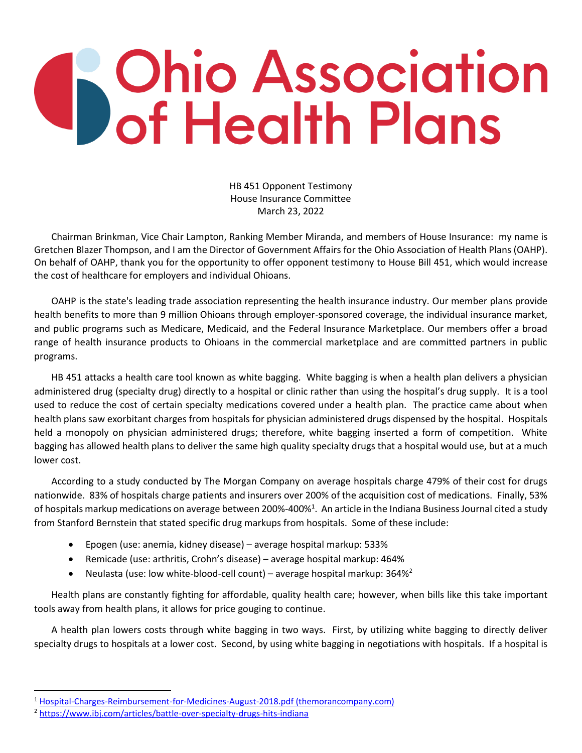## **S** Ohio Association<br>**Ohio Association**

HB 451 Opponent Testimony House Insurance Committee March 23, 2022

Chairman Brinkman, Vice Chair Lampton, Ranking Member Miranda, and members of House Insurance: my name is Gretchen Blazer Thompson, and I am the Director of Government Affairs for the Ohio Association of Health Plans (OAHP). On behalf of OAHP, thank you for the opportunity to offer opponent testimony to House Bill 451, which would increase the cost of healthcare for employers and individual Ohioans.

OAHP is the state's leading trade association representing the health insurance industry. Our member plans provide health benefits to more than 9 million Ohioans through employer-sponsored coverage, the individual insurance market, and public programs such as Medicare, Medicaid, and the Federal Insurance Marketplace. Our members offer a broad range of health insurance products to Ohioans in the commercial marketplace and are committed partners in public programs.

HB 451 attacks a health care tool known as white bagging. White bagging is when a health plan delivers a physician administered drug (specialty drug) directly to a hospital or clinic rather than using the hospital's drug supply. It is a tool used to reduce the cost of certain specialty medications covered under a health plan. The practice came about when health plans saw exorbitant charges from hospitals for physician administered drugs dispensed by the hospital. Hospitals held a monopoly on physician administered drugs; therefore, white bagging inserted a form of competition. White bagging has allowed health plans to deliver the same high quality specialty drugs that a hospital would use, but at a much lower cost.

According to a study conducted by The Morgan Company on average hospitals charge 479% of their cost for drugs nationwide. 83% of hospitals charge patients and insurers over 200% of the acquisition cost of medications. Finally, 53% of hospitals markup medications on average between 200%-400%<sup>1</sup>. An article in the Indiana Business Journal cited a study from Stanford Bernstein that stated specific drug markups from hospitals. Some of these include:

- Epogen (use: anemia, kidney disease) average hospital markup: 533%
- Remicade (use: arthritis, Crohn's disease) average hospital markup: 464%
- Neulasta (use: low white-blood-cell count) average hospital markup:  $364\%^2$

Health plans are constantly fighting for affordable, quality health care; however, when bills like this take important tools away from health plans, it allows for price gouging to continue.

A health plan lowers costs through white bagging in two ways. First, by utilizing white bagging to directly deliver specialty drugs to hospitals at a lower cost. Second, by using white bagging in negotiations with hospitals. If a hospital is

<sup>1</sup> [Hospital-Charges-Reimbursement-for-Medicines-August-2018.pdf \(themorancompany.com\)](https://www.themorancompany.com/wp-content/uploads/2018/09/Hospital-Charges-Reimbursement-for-Medicines-August-2018.pdf)

<sup>2</sup> <https://www.ibj.com/articles/battle-over-specialty-drugs-hits-indiana>